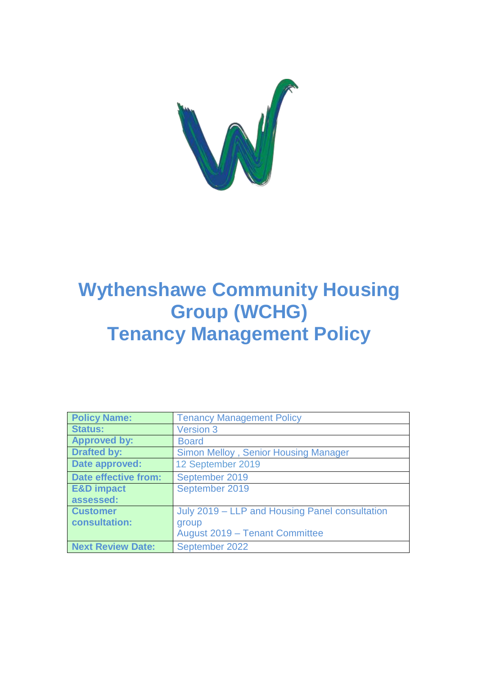

# **Wythenshawe Community Housing Group (WCHG) Tenancy Management Policy**

| <b>Policy Name:</b>      | <b>Tenancy Management Policy</b>               |
|--------------------------|------------------------------------------------|
| <b>Status:</b>           | <b>Version 3</b>                               |
| <b>Approved by:</b>      | <b>Board</b>                                   |
| <b>Drafted by:</b>       | <b>Simon Melloy, Senior Housing Manager</b>    |
| Date approved:           | 12 September 2019                              |
| Date effective from:     | September 2019                                 |
| <b>E&amp;D</b> impact    | September 2019                                 |
| assessed:                |                                                |
| <b>Customer</b>          | July 2019 – LLP and Housing Panel consultation |
| consultation:            | group                                          |
|                          | August 2019 - Tenant Committee                 |
| <b>Next Review Date:</b> | September 2022                                 |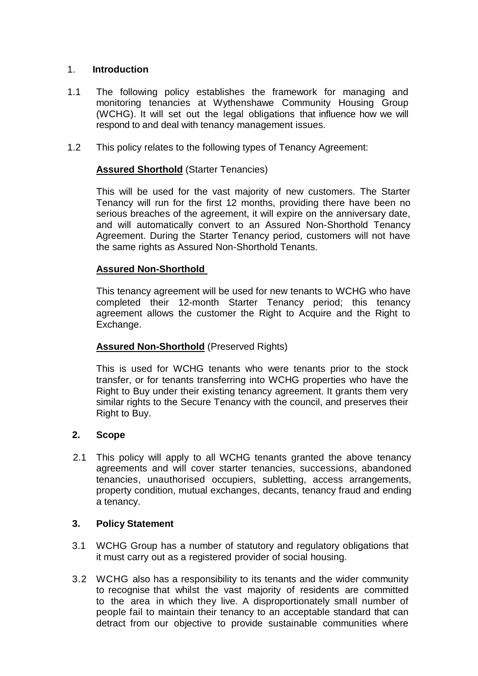# 1. **Introduction**

- 1.1 The following policy establishes the framework for managing and monitoring tenancies at Wythenshawe Community Housing Group (WCHG). It will set out the legal obligations that influence how we will respond to and deal with tenancy management issues.
- 1.2 This policy relates to the following types of Tenancy Agreement:

# **Assured Shorthold** (Starter Tenancies)

This will be used for the vast majority of new customers. The Starter Tenancy will run for the first 12 months, providing there have been no serious breaches of the agreement, it will expire on the anniversary date, and will automatically convert to an Assured Non-Shorthold Tenancy Agreement. During the Starter Tenancy period, customers will not have the same rights as Assured Non-Shorthold Tenants.

# **Assured Non-Shorthold**

This tenancy agreement will be used for new tenants to WCHG who have completed their 12-month Starter Tenancy period; this tenancy agreement allows the customer the Right to Acquire and the Right to Exchange.

# **Assured Non-Shorthold** (Preserved Rights)

This is used for WCHG tenants who were tenants prior to the stock transfer, or for tenants transferring into WCHG properties who have the Right to Buy under their existing tenancy agreement. It grants them very similar rights to the Secure Tenancy with the council, and preserves their Right to Buy.

#### **2. Scope**

 2.1 This policy will apply to all WCHG tenants granted the above tenancy agreements and will cover starter tenancies, successions, abandoned tenancies, unauthorised occupiers, subletting, access arrangements, property condition, mutual exchanges, decants, tenancy fraud and ending a tenancy.

#### **3. Policy Statement**

- 3.1 WCHG Group has a number of statutory and regulatory obligations that it must carry out as a registered provider of social housing.
- 3.2 WCHG also has a responsibility to its tenants and the wider community to recognise that whilst the vast majority of residents are committed to the area in which they live. A disproportionately small number of people fail to maintain their tenancy to an acceptable standard that can detract from our objective to provide sustainable communities where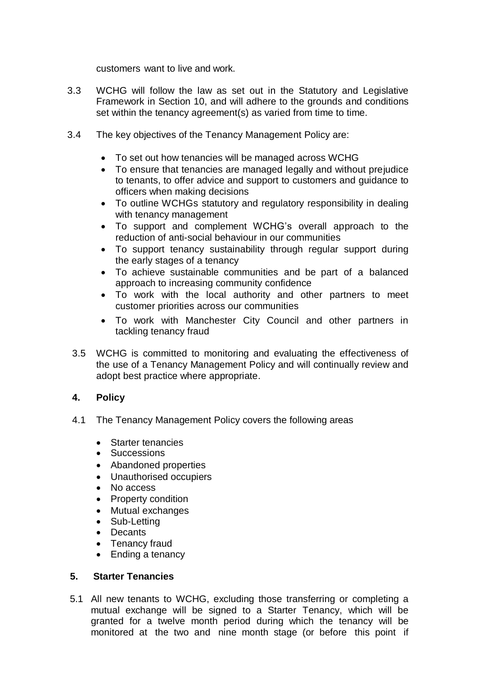customers want to live and work.

- 3.3 WCHG will follow the law as set out in the Statutory and Legislative Framework in Section 10, and will adhere to the grounds and conditions set within the tenancy agreement(s) as varied from time to time.
- 3.4 The key objectives of the Tenancy Management Policy are:
	- To set out how tenancies will be managed across WCHG
	- To ensure that tenancies are managed legally and without prejudice to tenants, to offer advice and support to customers and guidance to officers when making decisions
	- To outline WCHGs statutory and regulatory responsibility in dealing with tenancy management
	- To support and complement WCHG's overall approach to the reduction of anti-social behaviour in our communities
	- To support tenancy sustainability through regular support during the early stages of a tenancy
	- To achieve sustainable communities and be part of a balanced approach to increasing community confidence
	- To work with the local authority and other partners to meet customer priorities across our communities
	- To work with Manchester City Council and other partners in tackling tenancy fraud
	- 3.5 WCHG is committed to monitoring and evaluating the effectiveness of the use of a Tenancy Management Policy and will continually review and adopt best practice where appropriate.

# **4. Policy**

- 4.1 The Tenancy Management Policy covers the following areas
	- Starter tenancies
	- Successions
	- Abandoned properties
	- Unauthorised occupiers
	- No access
	- Property condition
	- Mutual exchanges
	- Sub-Letting
	- Decants
	- Tenancy fraud
	- Ending a tenancy

#### **5. Starter Tenancies**

5.1 All new tenants to WCHG, excluding those transferring or completing a mutual exchange will be signed to a Starter Tenancy, which will be granted for a twelve month period during which the tenancy will be monitored at the two and nine month stage (or before this point if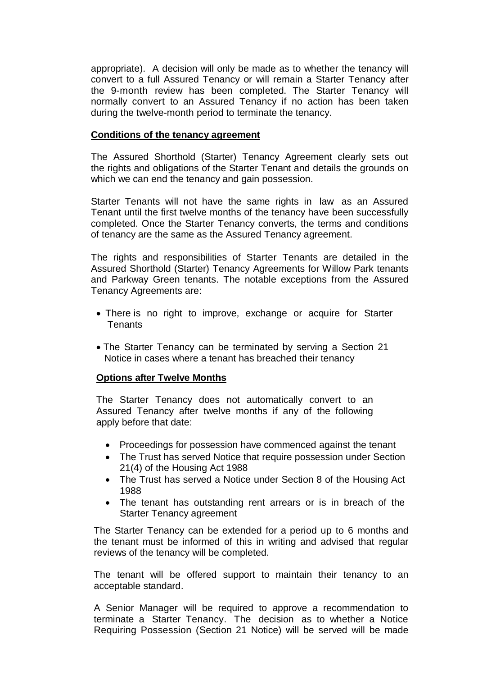appropriate). A decision will only be made as to whether the tenancy will convert to a full Assured Tenancy or will remain a Starter Tenancy after the 9-month review has been completed. The Starter Tenancy will normally convert to an Assured Tenancy if no action has been taken during the twelve-month period to terminate the tenancy.

#### **Conditions of the tenancy agreement**

The Assured Shorthold (Starter) Tenancy Agreement clearly sets out the rights and obligations of the Starter Tenant and details the grounds on which we can end the tenancy and gain possession.

Starter Tenants will not have the same rights in law as an Assured Tenant until the first twelve months of the tenancy have been successfully completed. Once the Starter Tenancy converts, the terms and conditions of tenancy are the same as the Assured Tenancy agreement.

The rights and responsibilities of Starter Tenants are detailed in the Assured Shorthold (Starter) Tenancy Agreements for Willow Park tenants and Parkway Green tenants. The notable exceptions from the Assured Tenancy Agreements are:

- There is no right to improve, exchange or acquire for Starter Tenants
- The Starter Tenancy can be terminated by serving a Section 21 Notice in cases where a tenant has breached their tenancy

#### **Options after Twelve Months**

The Starter Tenancy does not automatically convert to an Assured Tenancy after twelve months if any of the following apply before that date:

- Proceedings for possession have commenced against the tenant
- The Trust has served Notice that require possession under Section 21(4) of the Housing Act 1988
- The Trust has served a Notice under Section 8 of the Housing Act 1988
- The tenant has outstanding rent arrears or is in breach of the Starter Tenancy agreement

The Starter Tenancy can be extended for a period up to 6 months and the tenant must be informed of this in writing and advised that regular reviews of the tenancy will be completed.

The tenant will be offered support to maintain their tenancy to an acceptable standard.

A Senior Manager will be required to approve a recommendation to terminate a Starter Tenancy. The decision as to whether a Notice Requiring Possession (Section 21 Notice) will be served will be made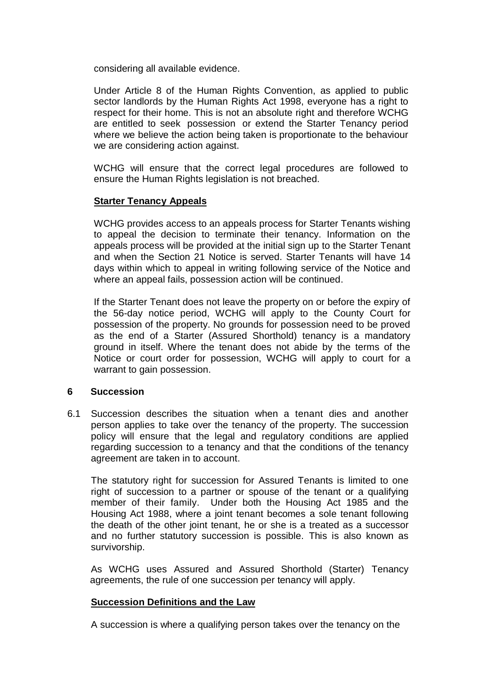considering all available evidence.

Under Article 8 of the Human Rights Convention, as applied to public sector landlords by the Human Rights Act 1998, everyone has a right to respect for their home. This is not an absolute right and therefore WCHG are entitled to seek possession or extend the Starter Tenancy period where we believe the action being taken is proportionate to the behaviour we are considering action against.

WCHG will ensure that the correct legal procedures are followed to ensure the Human Rights legislation is not breached.

#### **Starter Tenancy Appeals**

WCHG provides access to an appeals process for Starter Tenants wishing to appeal the decision to terminate their tenancy. Information on the appeals process will be provided at the initial sign up to the Starter Tenant and when the Section 21 Notice is served. Starter Tenants will have 14 days within which to appeal in writing following service of the Notice and where an appeal fails, possession action will be continued.

If the Starter Tenant does not leave the property on or before the expiry of the 56-day notice period, WCHG will apply to the County Court for possession of the property. No grounds for possession need to be proved as the end of a Starter (Assured Shorthold) tenancy is a mandatory ground in itself. Where the tenant does not abide by the terms of the Notice or court order for possession, WCHG will apply to court for a warrant to gain possession.

#### **6 Succession**

6.1 Succession describes the situation when a tenant dies and another person applies to take over the tenancy of the property. The succession policy will ensure that the legal and regulatory conditions are applied regarding succession to a tenancy and that the conditions of the tenancy agreement are taken in to account.

The statutory right for succession for Assured Tenants is limited to one right of succession to a partner or spouse of the tenant or a qualifying member of their family. Under both the Housing Act 1985 and the Housing Act 1988, where a joint tenant becomes a sole tenant following the death of the other joint tenant, he or she is a treated as a successor and no further statutory succession is possible. This is also known as survivorship.

As WCHG uses Assured and Assured Shorthold (Starter) Tenancy agreements, the rule of one succession per tenancy will apply.

#### **Succession Definitions and the Law**

A succession is where a qualifying person takes over the tenancy on the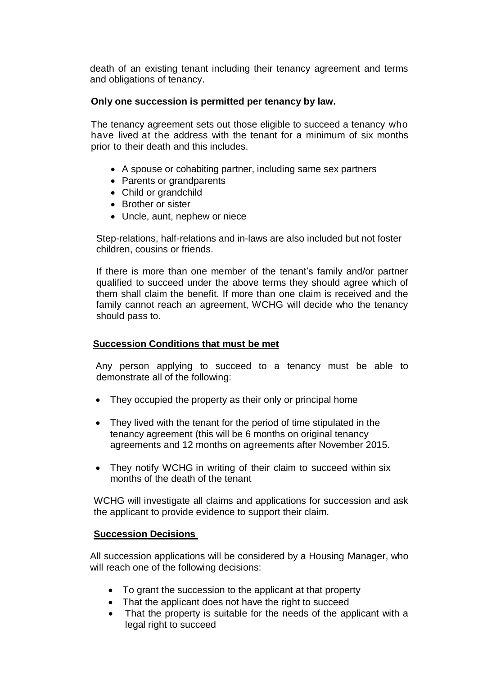death of an existing tenant including their tenancy agreement and terms and obligations of tenancy.

# **Only one succession is permitted per tenancy by law.**

The tenancy agreement sets out those eligible to succeed a tenancy who have lived at the address with the tenant for a minimum of six months prior to their death and this includes.

- A spouse or cohabiting partner, including same sex partners
- Parents or grandparents
- Child or grandchild
- Brother or sister
- Uncle, aunt, nephew or niece

Step-relations, half-relations and in-laws are also included but not foster children, cousins or friends.

If there is more than one member of the tenant's family and/or partner qualified to succeed under the above terms they should agree which of them shall claim the benefit. If more than one claim is received and the family cannot reach an agreement, WCHG will decide who the tenancy should pass to.

# **Succession Conditions that must be met**

Any person applying to succeed to a tenancy must be able to demonstrate all of the following:

- They occupied the property as their only or principal home
- They lived with the tenant for the period of time stipulated in the tenancy agreement (this will be 6 months on original tenancy agreements and 12 months on agreements after November 2015.
- They notify WCHG in writing of their claim to succeed within six months of the death of the tenant

WCHG will investigate all claims and applications for succession and ask the applicant to provide evidence to support their claim.

#### **Succession Decisions**

All succession applications will be considered by a Housing Manager, who will reach one of the following decisions:

- To grant the succession to the applicant at that property
- That the applicant does not have the right to succeed
- That the property is suitable for the needs of the applicant with a legal right to succeed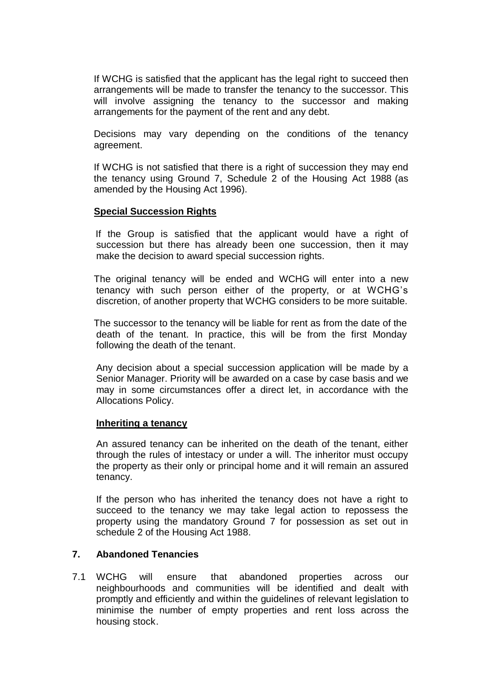If WCHG is satisfied that the applicant has the legal right to succeed then arrangements will be made to transfer the tenancy to the successor. This will involve assigning the tenancy to the successor and making arrangements for the payment of the rent and any debt.

Decisions may vary depending on the conditions of the tenancy agreement.

If WCHG is not satisfied that there is a right of succession they may end the tenancy using Ground 7, Schedule 2 of the Housing Act 1988 (as amended by the Housing Act 1996).

#### **Special Succession Rights**

If the Group is satisfied that the applicant would have a right of succession but there has already been one succession, then it may make the decision to award special succession rights.

The original tenancy will be ended and WCHG will enter into a new tenancy with such person either of the property, or at WCHG's discretion, of another property that WCHG considers to be more suitable.

The successor to the tenancy will be liable for rent as from the date of the death of the tenant. In practice, this will be from the first Monday following the death of the tenant.

Any decision about a special succession application will be made by a Senior Manager. Priority will be awarded on a case by case basis and we may in some circumstances offer a direct let, in accordance with the Allocations Policy.

#### **Inheriting a tenancy**

An assured tenancy can be inherited on the death of the tenant, either through the rules of intestacy or under a will. The inheritor must occupy the property as their only or principal home and it will remain an assured tenancy.

If the person who has inherited the tenancy does not have a right to succeed to the tenancy we may take legal action to repossess the property using the mandatory Ground 7 for possession as set out in schedule 2 of the Housing Act 1988.

#### **7. Abandoned Tenancies**

7.1 WCHG will ensure that abandoned properties across our neighbourhoods and communities will be identified and dealt with promptly and efficiently and within the guidelines of relevant legislation to minimise the number of empty properties and rent loss across the housing stock.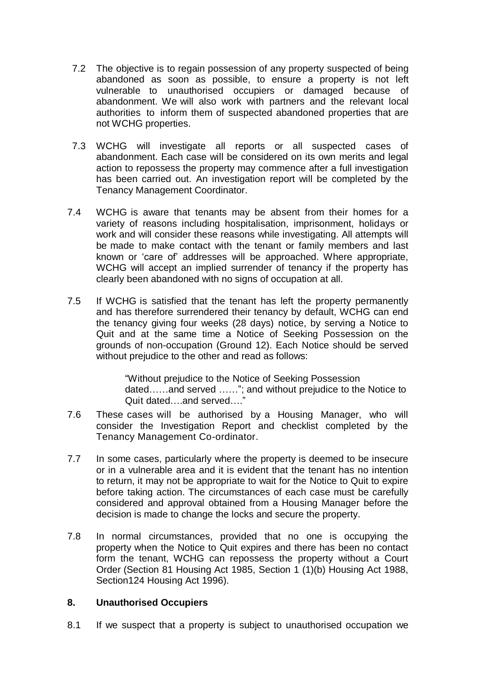- 7.2 The objective is to regain possession of any property suspected of being abandoned as soon as possible, to ensure a property is not left vulnerable to unauthorised occupiers or damaged because of abandonment. We will also work with partners and the relevant local authorities to inform them of suspected abandoned properties that are not WCHG properties.
- 7.3 WCHG will investigate all reports or all suspected cases of abandonment. Each case will be considered on its own merits and legal action to repossess the property may commence after a full investigation has been carried out. An investigation report will be completed by the Tenancy Management Coordinator.
- 7.4 WCHG is aware that tenants may be absent from their homes for a variety of reasons including hospitalisation, imprisonment, holidays or work and will consider these reasons while investigating. All attempts will be made to make contact with the tenant or family members and last known or 'care of' addresses will be approached. Where appropriate, WCHG will accept an implied surrender of tenancy if the property has clearly been abandoned with no signs of occupation at all.
- 7.5 If WCHG is satisfied that the tenant has left the property permanently and has therefore surrendered their tenancy by default, WCHG can end the tenancy giving four weeks (28 days) notice, by serving a Notice to Quit and at the same time a Notice of Seeking Possession on the grounds of non-occupation (Ground 12). Each Notice should be served without prejudice to the other and read as follows:

"Without prejudice to the Notice of Seeking Possession dated……and served ……"; and without prejudice to the Notice to Quit dated….and served…."

- 7.6 These cases will be authorised by a Housing Manager, who will consider the Investigation Report and checklist completed by the Tenancy Management Co-ordinator.
- 7.7 In some cases, particularly where the property is deemed to be insecure or in a vulnerable area and it is evident that the tenant has no intention to return, it may not be appropriate to wait for the Notice to Quit to expire before taking action. The circumstances of each case must be carefully considered and approval obtained from a Housing Manager before the decision is made to change the locks and secure the property.
- 7.8 In normal circumstances, provided that no one is occupying the property when the Notice to Quit expires and there has been no contact form the tenant, WCHG can repossess the property without a Court Order (Section 81 Housing Act 1985, Section 1 (1)(b) Housing Act 1988, Section124 Housing Act 1996).

#### **8. Unauthorised Occupiers**

8.1 If we suspect that a property is subject to unauthorised occupation we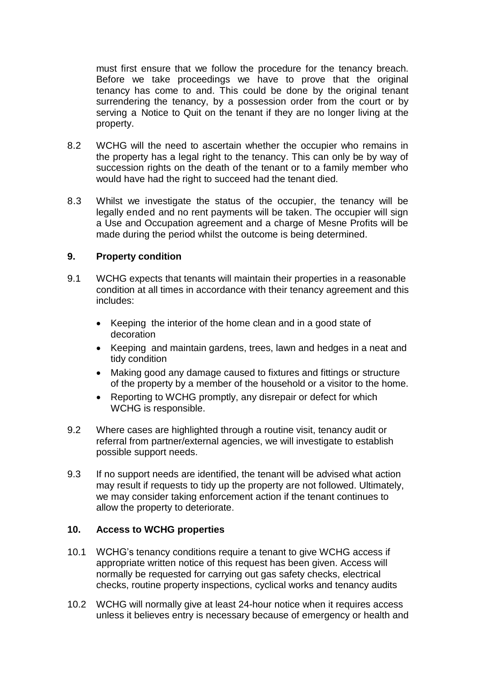must first ensure that we follow the procedure for the tenancy breach. Before we take proceedings we have to prove that the original tenancy has come to and. This could be done by the original tenant surrendering the tenancy, by a possession order from the court or by serving a Notice to Quit on the tenant if they are no longer living at the property.

- 8.2 WCHG will the need to ascertain whether the occupier who remains in the property has a legal right to the tenancy. This can only be by way of succession rights on the death of the tenant or to a family member who would have had the right to succeed had the tenant died.
- 8.3 Whilst we investigate the status of the occupier, the tenancy will be legally ended and no rent payments will be taken. The occupier will sign a Use and Occupation agreement and a charge of Mesne Profits will be made during the period whilst the outcome is being determined.

#### **9. Property condition**

- 9.1 WCHG expects that tenants will maintain their properties in a reasonable condition at all times in accordance with their tenancy agreement and this includes:
	- Keeping the interior of the home clean and in a good state of decoration
	- Keeping and maintain gardens, trees, lawn and hedges in a neat and tidy condition
	- Making good any damage caused to fixtures and fittings or structure of the property by a member of the household or a visitor to the home.
	- Reporting to WCHG promptly, any disrepair or defect for which WCHG is responsible.
- 9.2 Where cases are highlighted through a routine visit, tenancy audit or referral from partner/external agencies, we will investigate to establish possible support needs.
- 9.3 If no support needs are identified, the tenant will be advised what action may result if requests to tidy up the property are not followed. Ultimately, we may consider taking enforcement action if the tenant continues to allow the property to deteriorate.

#### **10. Access to WCHG properties**

- 10.1 WCHG's tenancy conditions require a tenant to give WCHG access if appropriate written notice of this request has been given. Access will normally be requested for carrying out gas safety checks, electrical checks, routine property inspections, cyclical works and tenancy audits
- 10.2 WCHG will normally give at least 24-hour notice when it requires access unless it believes entry is necessary because of emergency or health and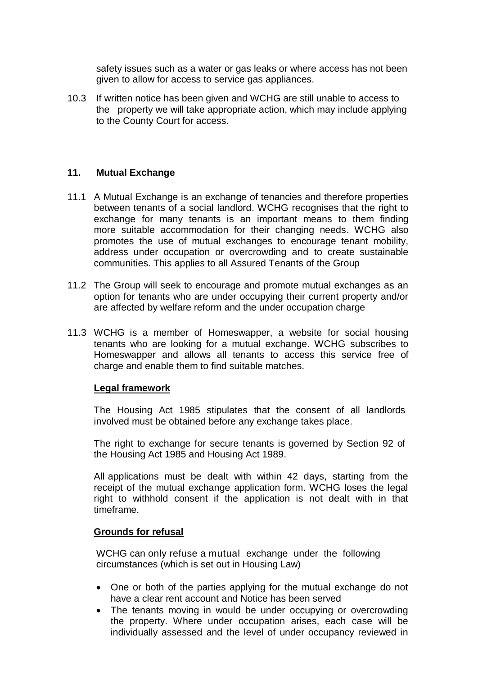safety issues such as a water or gas leaks or where access has not been given to allow for access to service gas appliances.

10.3 If written notice has been given and WCHG are still unable to access to the property we will take appropriate action, which may include applying to the County Court for access.

#### **11. Mutual Exchange**

- 11.1 A Mutual Exchange is an exchange of tenancies and therefore properties between tenants of a social landlord. WCHG recognises that the right to exchange for many tenants is an important means to them finding more suitable accommodation for their changing needs. WCHG also promotes the use of mutual exchanges to encourage tenant mobility, address under occupation or overcrowding and to create sustainable communities. This applies to all Assured Tenants of the Group
- 11.2 The Group will seek to encourage and promote mutual exchanges as an option for tenants who are under occupying their current property and/or are affected by welfare reform and the under occupation charge
- 11.3 WCHG is a member of Homeswapper, a website for social housing tenants who are looking for a mutual exchange. WCHG subscribes to Homeswapper and allows all tenants to access this service free of charge and enable them to find suitable matches.

#### **Legal framework**

The Housing Act 1985 stipulates that the consent of all landlords involved must be obtained before any exchange takes place.

The right to exchange for secure tenants is governed by Section 92 of the Housing Act 1985 and Housing Act 1989.

All applications must be dealt with within 42 days, starting from the receipt of the mutual exchange application form. WCHG loses the legal right to withhold consent if the application is not dealt with in that timeframe.

#### **Grounds for refusal**

WCHG can only refuse a mutual exchange under the following circumstances (which is set out in Housing Law)

- One or both of the parties applying for the mutual exchange do not have a clear rent account and Notice has been served
- The tenants moving in would be under occupying or overcrowding the property. Where under occupation arises, each case will be individually assessed and the level of under occupancy reviewed in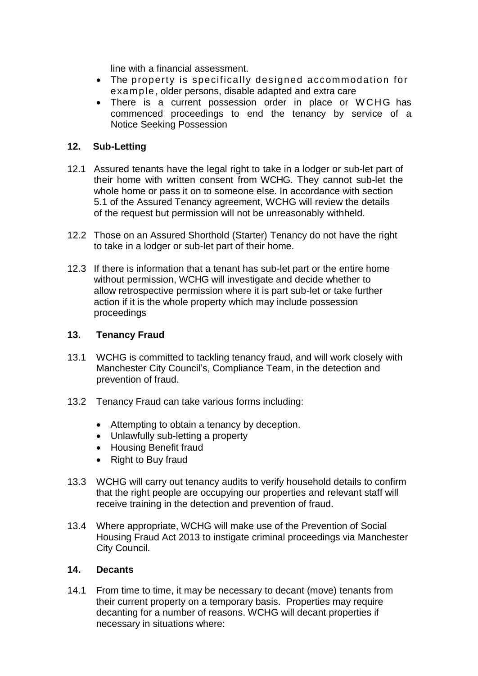line with a financial assessment.

- The property is specifically designed accommodation for example, older persons, disable adapted and extra care
- There is a current possession order in place or WCHG has commenced proceedings to end the tenancy by service of a Notice Seeking Possession

#### **12. Sub-Letting**

- 12.1 Assured tenants have the legal right to take in a lodger or sub-let part of their home with written consent from WCHG. They cannot sub-let the whole home or pass it on to someone else. In accordance with section 5.1 of the Assured Tenancy agreement, WCHG will review the details of the request but permission will not be unreasonably withheld.
- 12.2 Those on an Assured Shorthold (Starter) Tenancy do not have the right to take in a lodger or sub-let part of their home.
- 12.3 If there is information that a tenant has sub-let part or the entire home without permission, WCHG will investigate and decide whether to allow retrospective permission where it is part sub-let or take further action if it is the whole property which may include possession proceedings

#### **13. Tenancy Fraud**

- 13.1 WCHG is committed to tackling tenancy fraud, and will work closely with Manchester City Council's, Compliance Team, in the detection and prevention of fraud.
- 13.2 Tenancy Fraud can take various forms including:
	- Attempting to obtain a tenancy by deception.
	- Unlawfully sub-letting a property
	- Housing Benefit fraud
	- Right to Buy fraud
- 13.3 WCHG will carry out tenancy audits to verify household details to confirm that the right people are occupying our properties and relevant staff will receive training in the detection and prevention of fraud.
- 13.4 Where appropriate, WCHG will make use of the Prevention of Social Housing Fraud Act 2013 to instigate criminal proceedings via Manchester City Council.

#### **14. Decants**

14.1 From time to time, it may be necessary to decant (move) tenants from their current property on a temporary basis. Properties may require decanting for a number of reasons. WCHG will decant properties if necessary in situations where: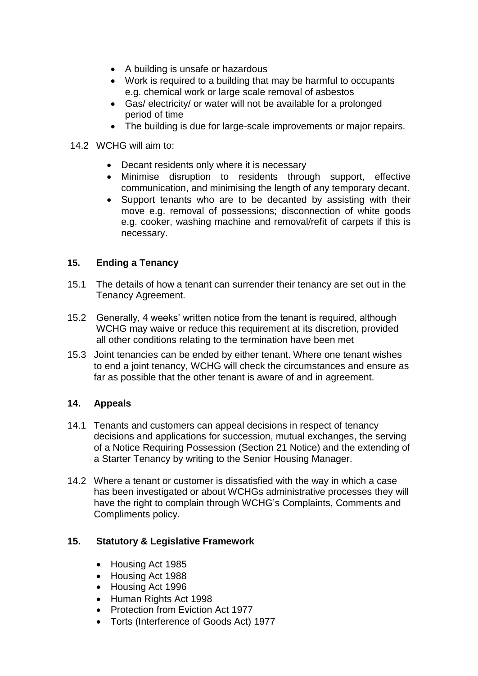- A building is unsafe or hazardous
- Work is required to a building that may be harmful to occupants e.g. chemical work or large scale removal of asbestos
- Gas/ electricity/ or water will not be available for a prolonged period of time
- The building is due for large-scale improvements or major repairs.
- 14.2 WCHG will aim to:
	- Decant residents only where it is necessary
	- Minimise disruption to residents through support, effective communication, and minimising the length of any temporary decant.
	- Support tenants who are to be decanted by assisting with their move e.g. removal of possessions; disconnection of white goods e.g. cooker, washing machine and removal/refit of carpets if this is necessary.

# **15. Ending a Tenancy**

- 15.1 The details of how a tenant can surrender their tenancy are set out in the Tenancy Agreement.
- 15.2 Generally, 4 weeks' written notice from the tenant is required, although WCHG may waive or reduce this requirement at its discretion, provided all other conditions relating to the termination have been met
- 15.3 Joint tenancies can be ended by either tenant. Where one tenant wishes to end a joint tenancy, WCHG will check the circumstances and ensure as far as possible that the other tenant is aware of and in agreement.

# **14. Appeals**

- 14.1 Tenants and customers can appeal decisions in respect of tenancy decisions and applications for succession, mutual exchanges, the serving of a Notice Requiring Possession (Section 21 Notice) and the extending of a Starter Tenancy by writing to the Senior Housing Manager.
- 14.2 Where a tenant or customer is dissatisfied with the way in which a case has been investigated or about WCHGs administrative processes they will have the right to complain through WCHG's Complaints, Comments and Compliments policy.

# **15. Statutory & Legislative Framework**

- Housing Act 1985
- Housing Act 1988
- Housing Act 1996
- Human Rights Act 1998
- Protection from Eviction Act 1977
- Torts (Interference of Goods Act) 1977